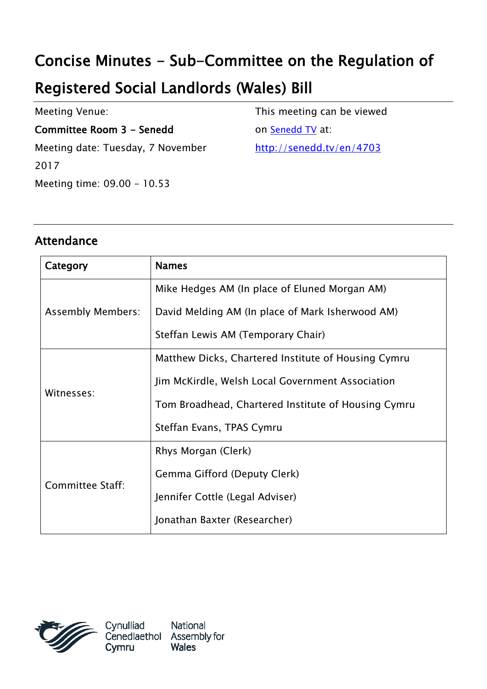# Concise Minutes - Sub-Committee on the Regulation of

## Registered Social Landlords (Wales) Bill

Meeting Venue:

Committee Room 3 - Senedd

Meeting date: Tuesday, 7 November 2017 Meeting time: 09.00 - 10.53

This meeting can be viewed

on [Senedd TV](http://senedd.tv/) at:

http://senedd.tv/en/4703

#### Attendance

| Category                 | <b>Names</b>                                        |
|--------------------------|-----------------------------------------------------|
| <b>Assembly Members:</b> | Mike Hedges AM (In place of Eluned Morgan AM)       |
|                          | David Melding AM (In place of Mark Isherwood AM)    |
|                          | Steffan Lewis AM (Temporary Chair)                  |
| Witnesses:               | Matthew Dicks, Chartered Institute of Housing Cymru |
|                          | Jim McKirdle, Welsh Local Government Association    |
|                          | Tom Broadhead, Chartered Institute of Housing Cymru |
|                          | Steffan Evans, TPAS Cymru                           |
| <b>Committee Staff:</b>  | Rhys Morgan (Clerk)                                 |
|                          | Gemma Gifford (Deputy Clerk)                        |
|                          | Jennifer Cottle (Legal Adviser)                     |
|                          | Jonathan Baxter (Researcher)                        |